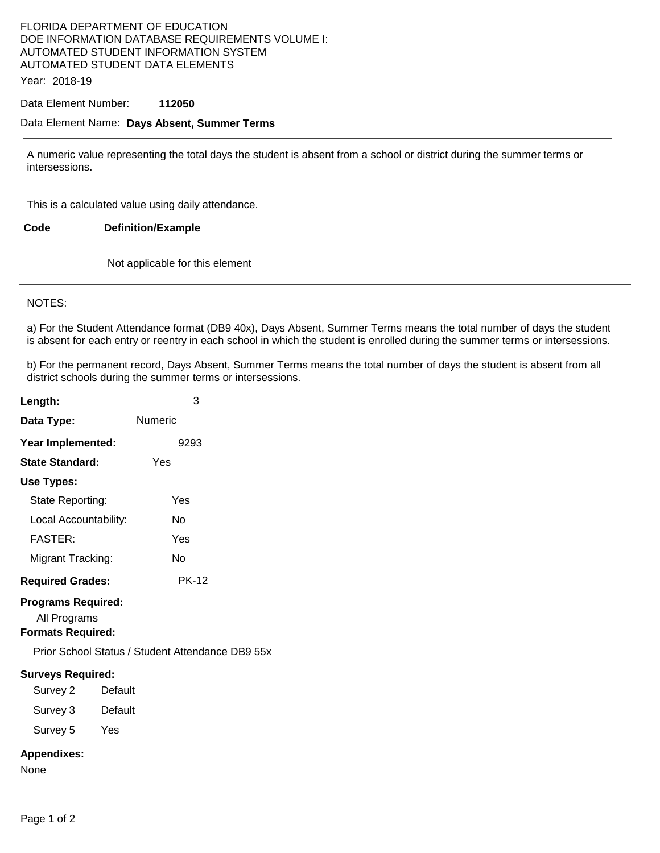## FLORIDA DEPARTMENT OF EDUCATION DOE INFORMATION DATABASE REQUIREMENTS VOLUME I: AUTOMATED STUDENT INFORMATION SYSTEM AUTOMATED STUDENT DATA ELEMENTS

Year: 2018-19

### Data Element Number: **112050**

#### Data Element Name: **Days Absent, Summer Terms**

A numeric value representing the total days the student is absent from a school or district during the summer terms or intersessions.

This is a calculated value using daily attendance.

**Code Definition/Example** 

Not applicable for this element

#### NOTES:

a) For the Student Attendance format (DB9 40x), Days Absent, Summer Terms means the total number of days the student is absent for each entry or reentry in each school in which the student is enrolled during the summer terms or intersessions.

b) For the permanent record, Days Absent, Summer Terms means the total number of days the student is absent from all district schools during the summer terms or intersessions.

| Length:                                                               | 3            |
|-----------------------------------------------------------------------|--------------|
| Data Type:                                                            | Numeric      |
| Year Implemented:                                                     | 9293         |
| <b>State Standard:</b>                                                | Yes          |
| Use Types:                                                            |              |
| State Reporting:                                                      | Yes          |
| Local Accountability:                                                 | N٥           |
| <b>FASTER:</b>                                                        | Yes          |
| Migrant Tracking:                                                     | N٥           |
| <b>Required Grades:</b>                                               | <b>PK-12</b> |
| <b>Programs Required:</b><br>All Programs<br><b>Formats Required:</b> |              |
| Prior School Status / Student Attendance DB9 55x                      |              |
| <b>Surveys Required:</b><br>Survey 2                                  | Default      |
| Survey 3                                                              | Default      |
| Survey 5                                                              | Yes          |
| <b>Appendixes:</b><br>None                                            |              |